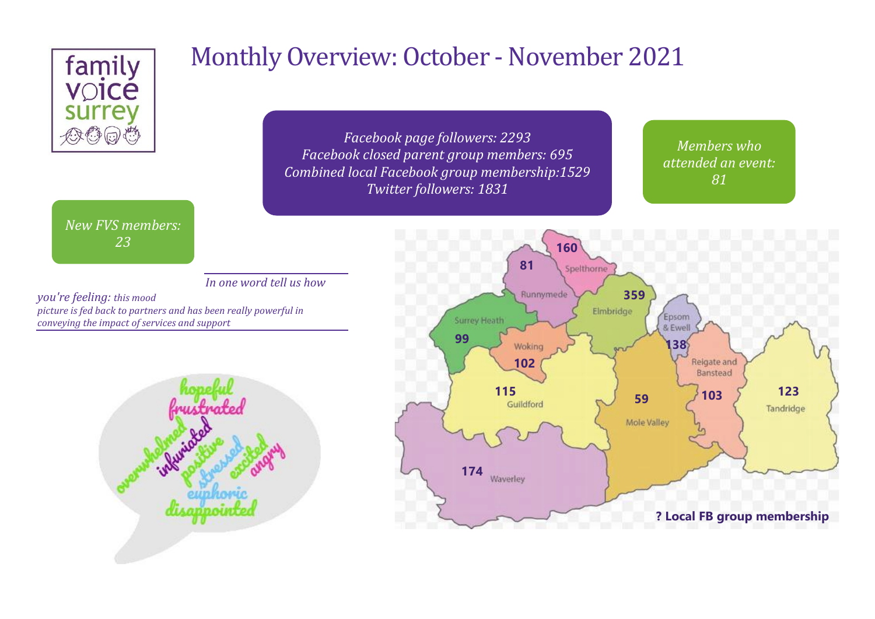

# Monthly Overview: October - November 2021

*Facebook page followers: 2293 Facebook closed parent group members: 695 Combined local Facebook group membership:1529 Twitter followers: 1831*

*Members who attended an event: 81*

*New FVS members: 23*

*In one word tell us how* 

*you're feeling: this mood picture is fed back to partners and has been really powerful in conveying the impact of services and support*



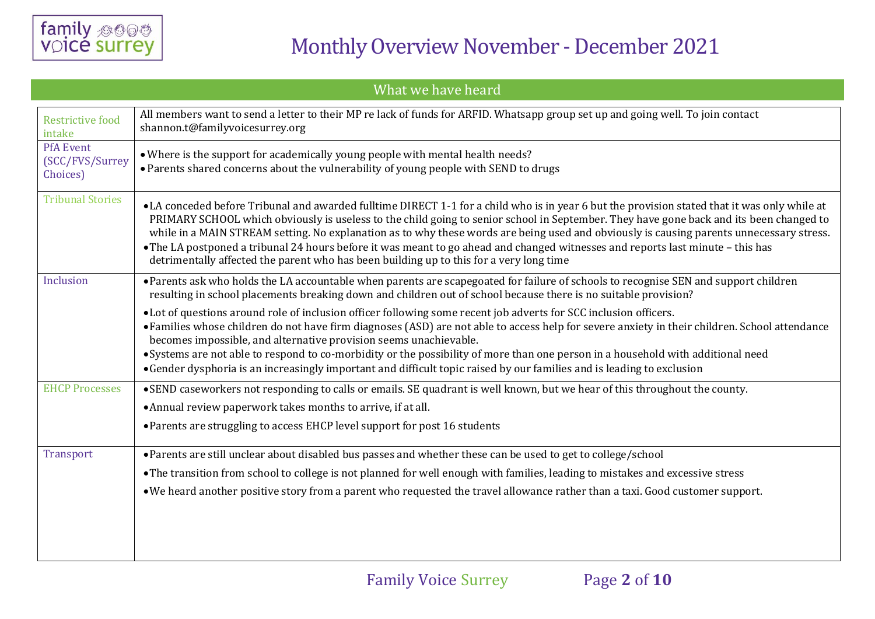

| What we have heard                              |                                                                                                                                                                                                                                                                                                                                                                                                                                                                                                                                                                                                                                                                   |  |  |  |
|-------------------------------------------------|-------------------------------------------------------------------------------------------------------------------------------------------------------------------------------------------------------------------------------------------------------------------------------------------------------------------------------------------------------------------------------------------------------------------------------------------------------------------------------------------------------------------------------------------------------------------------------------------------------------------------------------------------------------------|--|--|--|
| <b>Restrictive food</b><br>intake               | All members want to send a letter to their MP re lack of funds for ARFID. Whatsapp group set up and going well. To join contact<br>shannon.t@familyvoicesurrey.org                                                                                                                                                                                                                                                                                                                                                                                                                                                                                                |  |  |  |
| <b>PfA Event</b><br>(SCC/FVS/Surrey<br>Choices) | • Where is the support for academically young people with mental health needs?<br>• Parents shared concerns about the vulnerability of young people with SEND to drugs                                                                                                                                                                                                                                                                                                                                                                                                                                                                                            |  |  |  |
| <b>Tribunal Stories</b>                         | •LA conceded before Tribunal and awarded fulltime DIRECT 1-1 for a child who is in year 6 but the provision stated that it was only while at<br>PRIMARY SCHOOL which obviously is useless to the child going to senior school in September. They have gone back and its been changed to<br>while in a MAIN STREAM setting. No explanation as to why these words are being used and obviously is causing parents unnecessary stress.<br>• The LA postponed a tribunal 24 hours before it was meant to go ahead and changed witnesses and reports last minute – this has<br>detrimentally affected the parent who has been building up to this for a very long time |  |  |  |
| Inclusion                                       | • Parents ask who holds the LA accountable when parents are scapegoated for failure of schools to recognise SEN and support children<br>resulting in school placements breaking down and children out of school because there is no suitable provision?                                                                                                                                                                                                                                                                                                                                                                                                           |  |  |  |
|                                                 | • Lot of questions around role of inclusion officer following some recent job adverts for SCC inclusion officers.<br>• Families whose children do not have firm diagnoses (ASD) are not able to access help for severe anxiety in their children. School attendance<br>becomes impossible, and alternative provision seems unachievable.<br>• Systems are not able to respond to co-morbidity or the possibility of more than one person in a household with additional need<br>• Gender dysphoria is an increasingly important and difficult topic raised by our families and is leading to exclusion                                                            |  |  |  |
| <b>EHCP Processes</b>                           | •SEND caseworkers not responding to calls or emails. SE quadrant is well known, but we hear of this throughout the county.<br>• Annual review paperwork takes months to arrive, if at all.                                                                                                                                                                                                                                                                                                                                                                                                                                                                        |  |  |  |
|                                                 | • Parents are struggling to access EHCP level support for post 16 students                                                                                                                                                                                                                                                                                                                                                                                                                                                                                                                                                                                        |  |  |  |
| <b>Transport</b>                                | • Parents are still unclear about disabled bus passes and whether these can be used to get to college/school<br>• The transition from school to college is not planned for well enough with families, leading to mistakes and excessive stress<br>• We heard another positive story from a parent who requested the travel allowance rather than a taxi. Good customer support.                                                                                                                                                                                                                                                                                   |  |  |  |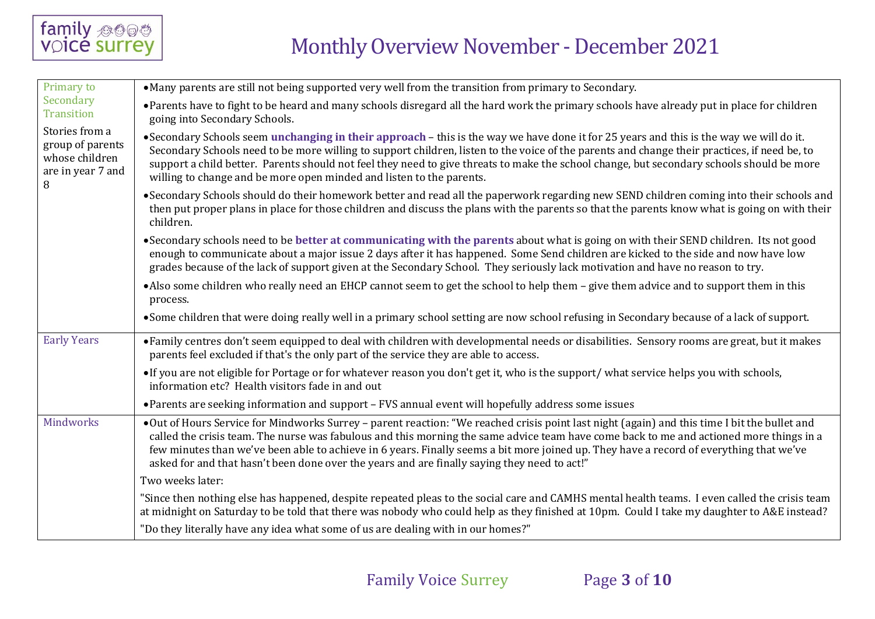

| Primary to                                                                     | • Many parents are still not being supported very well from the transition from primary to Secondary.                                                                                                                                                                                                                                                                                                                                                                                                                              |  |  |  |  |
|--------------------------------------------------------------------------------|------------------------------------------------------------------------------------------------------------------------------------------------------------------------------------------------------------------------------------------------------------------------------------------------------------------------------------------------------------------------------------------------------------------------------------------------------------------------------------------------------------------------------------|--|--|--|--|
| Secondary<br><b>Transition</b>                                                 | • Parents have to fight to be heard and many schools disregard all the hard work the primary schools have already put in place for children<br>going into Secondary Schools.                                                                                                                                                                                                                                                                                                                                                       |  |  |  |  |
| Stories from a<br>group of parents<br>whose children<br>are in year 7 and<br>8 | •Secondary Schools seem unchanging in their approach – this is the way we have done it for 25 years and this is the way we will do it.<br>Secondary Schools need to be more willing to support children, listen to the voice of the parents and change their practices, if need be, to<br>support a child better. Parents should not feel they need to give threats to make the school change, but secondary schools should be more<br>willing to change and be more open minded and listen to the parents.                        |  |  |  |  |
|                                                                                | • Secondary Schools should do their homework better and read all the paperwork regarding new SEND children coming into their schools and<br>then put proper plans in place for those children and discuss the plans with the parents so that the parents know what is going on with their<br>children.                                                                                                                                                                                                                             |  |  |  |  |
|                                                                                | • Secondary schools need to be better at communicating with the parents about what is going on with their SEND children. Its not good<br>enough to communicate about a major issue 2 days after it has happened. Some Send children are kicked to the side and now have low<br>grades because of the lack of support given at the Secondary School. They seriously lack motivation and have no reason to try.                                                                                                                      |  |  |  |  |
|                                                                                | • Also some children who really need an EHCP cannot seem to get the school to help them - give them advice and to support them in this<br>process.                                                                                                                                                                                                                                                                                                                                                                                 |  |  |  |  |
|                                                                                | • Some children that were doing really well in a primary school setting are now school refusing in Secondary because of a lack of support.                                                                                                                                                                                                                                                                                                                                                                                         |  |  |  |  |
| <b>Early Years</b>                                                             | • Family centres don't seem equipped to deal with children with developmental needs or disabilities. Sensory rooms are great, but it makes<br>parents feel excluded if that's the only part of the service they are able to access.                                                                                                                                                                                                                                                                                                |  |  |  |  |
|                                                                                | • If you are not eligible for Portage or for whatever reason you don't get it, who is the support/ what service helps you with schools,<br>information etc? Health visitors fade in and out                                                                                                                                                                                                                                                                                                                                        |  |  |  |  |
|                                                                                | • Parents are seeking information and support - FVS annual event will hopefully address some issues                                                                                                                                                                                                                                                                                                                                                                                                                                |  |  |  |  |
| Mindworks                                                                      | •Out of Hours Service for Mindworks Surrey - parent reaction: "We reached crisis point last night (again) and this time I bit the bullet and<br>called the crisis team. The nurse was fabulous and this morning the same advice team have come back to me and actioned more things in a<br>few minutes than we've been able to achieve in 6 years. Finally seems a bit more joined up. They have a record of everything that we've<br>asked for and that hasn't been done over the years and are finally saying they need to act!" |  |  |  |  |
|                                                                                | Two weeks later:                                                                                                                                                                                                                                                                                                                                                                                                                                                                                                                   |  |  |  |  |
|                                                                                | "Since then nothing else has happened, despite repeated pleas to the social care and CAMHS mental health teams. I even called the crisis team<br>at midnight on Saturday to be told that there was nobody who could help as they finished at 10pm. Could I take my daughter to A&E instead?                                                                                                                                                                                                                                        |  |  |  |  |
|                                                                                | "Do they literally have any idea what some of us are dealing with in our homes?"                                                                                                                                                                                                                                                                                                                                                                                                                                                   |  |  |  |  |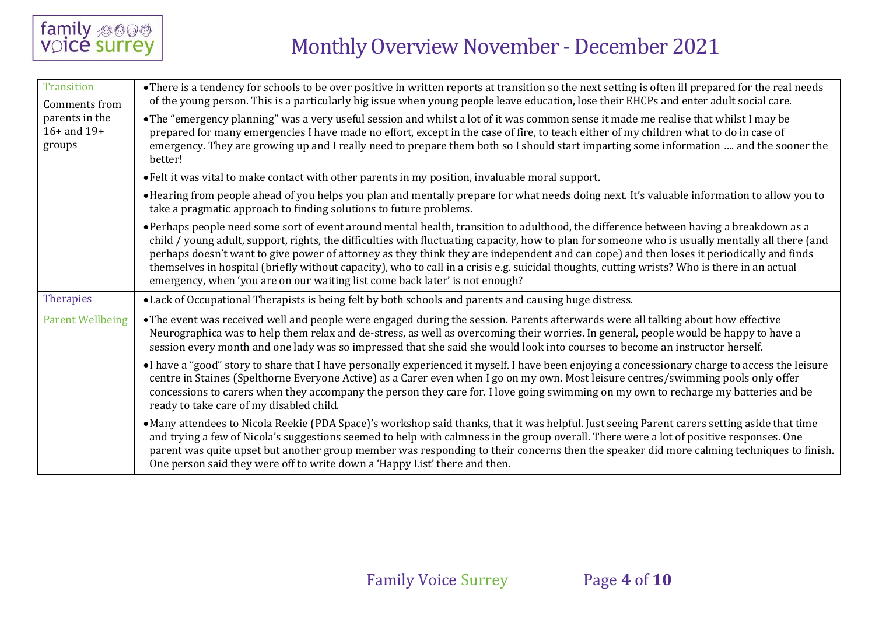

| <b>Transition</b><br>Comments from          | • There is a tendency for schools to be over positive in written reports at transition so the next setting is often ill prepared for the real needs<br>of the young person. This is a particularly big issue when young people leave education, lose their EHCPs and enter adult social care.                                                                                                                                                                                                                                                                                                                                                                          |
|---------------------------------------------|------------------------------------------------------------------------------------------------------------------------------------------------------------------------------------------------------------------------------------------------------------------------------------------------------------------------------------------------------------------------------------------------------------------------------------------------------------------------------------------------------------------------------------------------------------------------------------------------------------------------------------------------------------------------|
| parents in the<br>$16+$ and $19+$<br>groups | . The "emergency planning" was a very useful session and whilst a lot of it was common sense it made me realise that whilst I may be<br>prepared for many emergencies I have made no effort, except in the case of fire, to teach either of my children what to do in case of<br>emergency. They are growing up and I really need to prepare them both so I should start imparting some information  and the sooner the<br>better!                                                                                                                                                                                                                                     |
|                                             | • Felt it was vital to make contact with other parents in my position, invaluable moral support.                                                                                                                                                                                                                                                                                                                                                                                                                                                                                                                                                                       |
|                                             | • Hearing from people ahead of you helps you plan and mentally prepare for what needs doing next. It's valuable information to allow you to<br>take a pragmatic approach to finding solutions to future problems.                                                                                                                                                                                                                                                                                                                                                                                                                                                      |
|                                             | • Perhaps people need some sort of event around mental health, transition to adulthood, the difference between having a breakdown as a<br>child / young adult, support, rights, the difficulties with fluctuating capacity, how to plan for someone who is usually mentally all there (and<br>perhaps doesn't want to give power of attorney as they think they are independent and can cope) and then loses it periodically and finds<br>themselves in hospital (briefly without capacity), who to call in a crisis e.g. suicidal thoughts, cutting wrists? Who is there in an actual<br>emergency, when 'you are on our waiting list come back later' is not enough? |
| Therapies                                   | • Lack of Occupational Therapists is being felt by both schools and parents and causing huge distress.                                                                                                                                                                                                                                                                                                                                                                                                                                                                                                                                                                 |
| <b>Parent Wellbeing</b>                     | • The event was received well and people were engaged during the session. Parents afterwards were all talking about how effective<br>Neurographica was to help them relax and de-stress, as well as overcoming their worries. In general, people would be happy to have a<br>session every month and one lady was so impressed that she said she would look into courses to become an instructor herself.                                                                                                                                                                                                                                                              |
|                                             | •I have a "good" story to share that I have personally experienced it myself. I have been enjoying a concessionary charge to access the leisure<br>centre in Staines (Spelthorne Everyone Active) as a Carer even when I go on my own. Most leisure centres/swimming pools only offer<br>concessions to carers when they accompany the person they care for. I love going swimming on my own to recharge my batteries and be<br>ready to take care of my disabled child.                                                                                                                                                                                               |
|                                             | • Many attendees to Nicola Reekie (PDA Space)'s workshop said thanks, that it was helpful. Just seeing Parent carers setting aside that time<br>and trying a few of Nicola's suggestions seemed to help with calmness in the group overall. There were a lot of positive responses. One<br>parent was quite upset but another group member was responding to their concerns then the speaker did more calming techniques to finish.<br>One person said they were off to write down a 'Happy List' there and then.                                                                                                                                                      |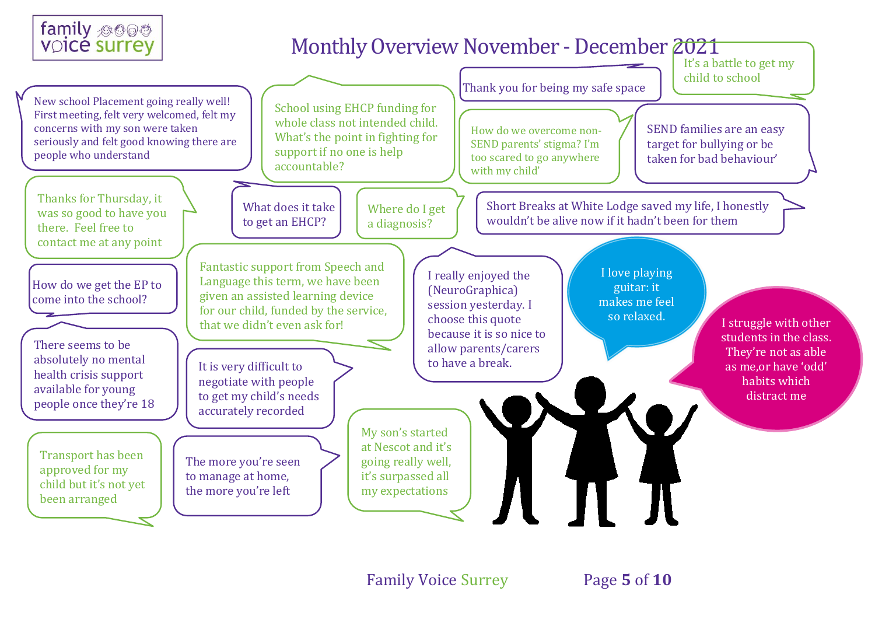

Family Voice Surrey Page **5** of **10**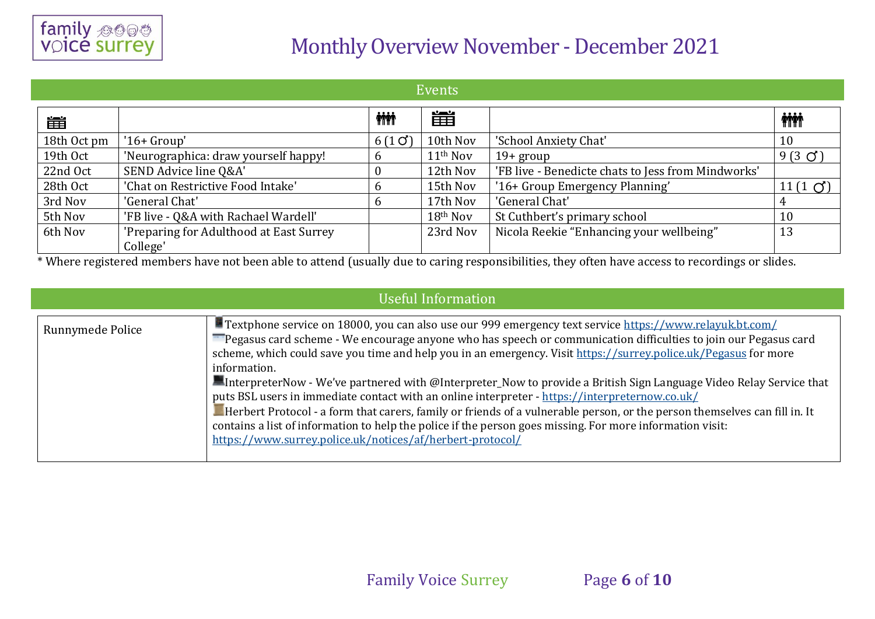

| Events      |                                                     |            |                      |                                                    |                |
|-------------|-----------------------------------------------------|------------|----------------------|----------------------------------------------------|----------------|
| 雦           |                                                     | <b>iii</b> | 當                    |                                                    | <b>iii</b>     |
| 18th Oct pm | $'16+Group'$                                        | 6(10)      | 10th Nov             | 'School Anxiety Chat'                              | 10             |
| 19th Oct    | 'Neurographica: draw yourself happy!                |            | 11 <sup>th</sup> Nov | $19+$ group                                        | $9(3 \circ)$   |
| 22nd Oct    | SEND Advice line Q&A'                               |            | 12th Nov             | 'FB live - Benedicte chats to Jess from Mindworks' |                |
| 28th Oct    | 'Chat on Restrictive Food Intake'                   |            | 15th Nov             | '16+ Group Emergency Planning'                     | 11 $(1 \circ)$ |
| 3rd Nov     | 'General Chat'                                      |            | 17th Nov             | 'General Chat'                                     |                |
| 5th Nov     | 'FB live - Q&A with Rachael Wardell'                |            | 18th Nov             | St Cuthbert's primary school                       | 10             |
| 6th Nov     | 'Preparing for Adulthood at East Surrey<br>College' |            | 23rd Nov             | Nicola Reekie "Enhancing your wellbeing"           | 13             |

\* Where registered members have not been able to attend (usually due to caring responsibilities, they often have access to recordings or slides.

| <b>Useful Information</b> |                                                                                                                                                                                                                                                                                                                                                                                                                                                                                                                                                                                                                                                                                                                                                                                                                                                                                              |  |  |  |
|---------------------------|----------------------------------------------------------------------------------------------------------------------------------------------------------------------------------------------------------------------------------------------------------------------------------------------------------------------------------------------------------------------------------------------------------------------------------------------------------------------------------------------------------------------------------------------------------------------------------------------------------------------------------------------------------------------------------------------------------------------------------------------------------------------------------------------------------------------------------------------------------------------------------------------|--|--|--|
| Runnymede Police          | Textphone service on 18000, you can also use our 999 emergency text service https://www.relayuk.bt.com/<br>Pegasus card scheme - We encourage anyone who has speech or communication difficulties to join our Pegasus card<br>scheme, which could save you time and help you in an emergency. Visit https://surrey.police.uk/Pegasus for more<br>information.<br>InterpreterNow - We've partnered with @Interpreter_Now to provide a British Sign Language Video Relay Service that<br>puts BSL users in immediate contact with an online interpreter - https://interpreternow.co.uk/<br>Herbert Protocol - a form that carers, family or friends of a vulnerable person, or the person themselves can fill in. It<br>contains a list of information to help the police if the person goes missing. For more information visit:<br>https://www.surrey.police.uk/notices/af/herbert-protocol/ |  |  |  |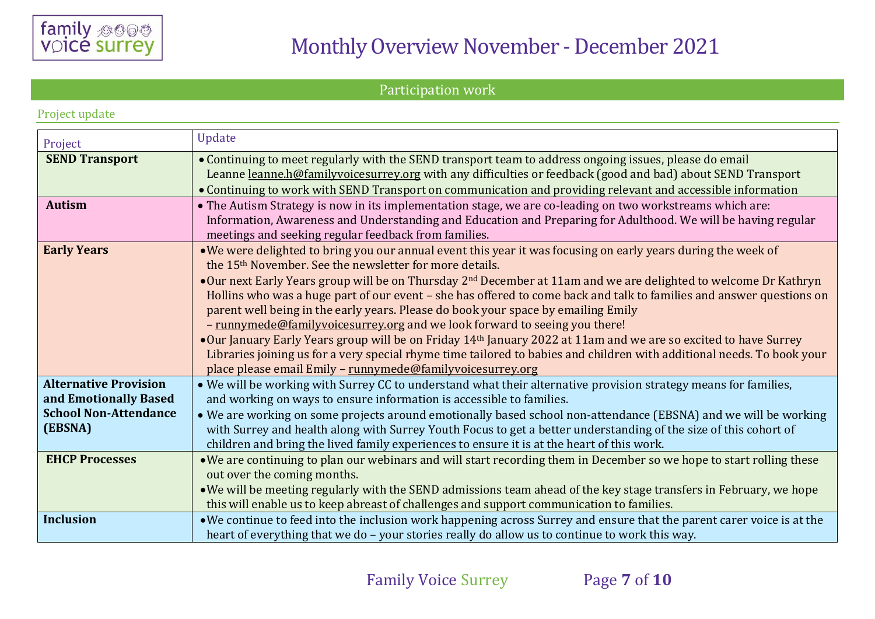

#### Participation work

|  | Project update |
|--|----------------|
|  |                |

| Project                                                                                          | <b>Update</b>                                                                                                                                                                                                                                                                                                                                                                                                                                                                                                                                                                                                                                                                                                                                                                                                                                                                                                             |
|--------------------------------------------------------------------------------------------------|---------------------------------------------------------------------------------------------------------------------------------------------------------------------------------------------------------------------------------------------------------------------------------------------------------------------------------------------------------------------------------------------------------------------------------------------------------------------------------------------------------------------------------------------------------------------------------------------------------------------------------------------------------------------------------------------------------------------------------------------------------------------------------------------------------------------------------------------------------------------------------------------------------------------------|
| <b>SEND Transport</b>                                                                            | • Continuing to meet regularly with the SEND transport team to address ongoing issues, please do email<br>Leanne leanne.h@familyvoicesurrey.org with any difficulties or feedback (good and bad) about SEND Transport<br>• Continuing to work with SEND Transport on communication and providing relevant and accessible information                                                                                                                                                                                                                                                                                                                                                                                                                                                                                                                                                                                      |
| <b>Autism</b>                                                                                    | • The Autism Strategy is now in its implementation stage, we are co-leading on two workstreams which are:<br>Information, Awareness and Understanding and Education and Preparing for Adulthood. We will be having regular<br>meetings and seeking regular feedback from families.                                                                                                                                                                                                                                                                                                                                                                                                                                                                                                                                                                                                                                        |
| <b>Early Years</b>                                                                               | • We were delighted to bring you our annual event this year it was focusing on early years during the week of<br>the 15 <sup>th</sup> November. See the newsletter for more details.<br>•Our next Early Years group will be on Thursday 2 <sup>nd</sup> December at 11am and we are delighted to welcome Dr Kathryn<br>Hollins who was a huge part of our event - she has offered to come back and talk to families and answer questions on<br>parent well being in the early years. Please do book your space by emailing Emily<br>- runnymede@familyvoicesurrey.org and we look forward to seeing you there!<br>•Our January Early Years group will be on Friday 14th January 2022 at 11am and we are so excited to have Surrey<br>Libraries joining us for a very special rhyme time tailored to babies and children with additional needs. To book your<br>place please email Emily - runnymede@familyvoicesurrey.org |
| <b>Alternative Provision</b><br>and Emotionally Based<br><b>School Non-Attendance</b><br>(EBSNA) | . We will be working with Surrey CC to understand what their alternative provision strategy means for families,<br>and working on ways to ensure information is accessible to families.<br>• We are working on some projects around emotionally based school non-attendance (EBSNA) and we will be working<br>with Surrey and health along with Surrey Youth Focus to get a better understanding of the size of this cohort of<br>children and bring the lived family experiences to ensure it is at the heart of this work.                                                                                                                                                                                                                                                                                                                                                                                              |
| <b>EHCP Processes</b>                                                                            | . We are continuing to plan our webinars and will start recording them in December so we hope to start rolling these<br>out over the coming months.<br>• We will be meeting regularly with the SEND admissions team ahead of the key stage transfers in February, we hope<br>this will enable us to keep abreast of challenges and support communication to families.                                                                                                                                                                                                                                                                                                                                                                                                                                                                                                                                                     |
| <b>Inclusion</b>                                                                                 | . We continue to feed into the inclusion work happening across Surrey and ensure that the parent carer voice is at the<br>heart of everything that we do - your stories really do allow us to continue to work this way.                                                                                                                                                                                                                                                                                                                                                                                                                                                                                                                                                                                                                                                                                                  |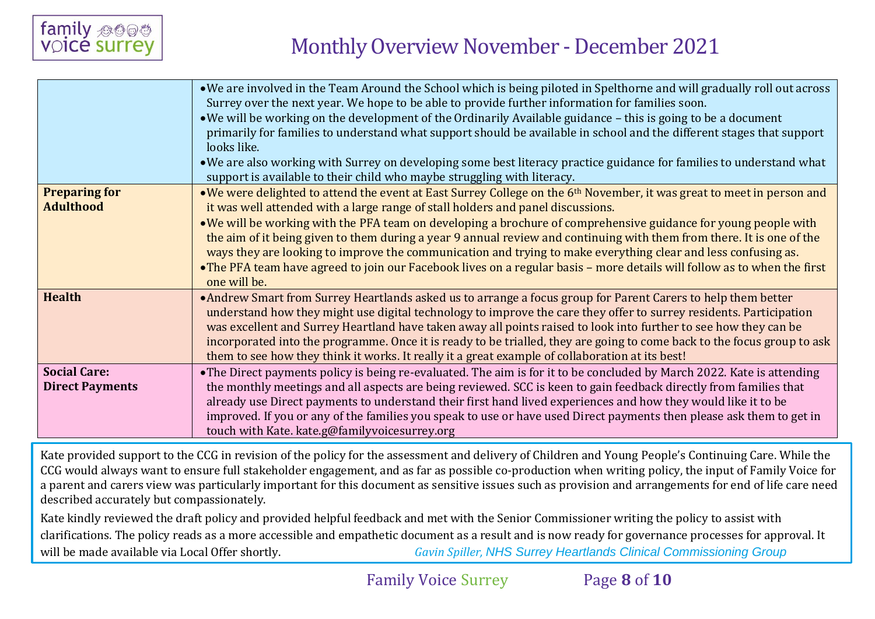

|                                               | • We are involved in the Team Around the School which is being piloted in Spelthorne and will gradually roll out across<br>Surrey over the next year. We hope to be able to provide further information for families soon.<br>• We will be working on the development of the Ordinarily Available guidance – this is going to be a document<br>primarily for families to understand what support should be available in school and the different stages that support                                                                                                                  |
|-----------------------------------------------|---------------------------------------------------------------------------------------------------------------------------------------------------------------------------------------------------------------------------------------------------------------------------------------------------------------------------------------------------------------------------------------------------------------------------------------------------------------------------------------------------------------------------------------------------------------------------------------|
|                                               | looks like.<br>• We are also working with Surrey on developing some best literacy practice guidance for families to understand what<br>support is available to their child who maybe struggling with literacy.                                                                                                                                                                                                                                                                                                                                                                        |
| <b>Preparing for</b><br><b>Adulthood</b>      | •We were delighted to attend the event at East Surrey College on the 6 <sup>th</sup> November, it was great to meet in person and<br>it was well attended with a large range of stall holders and panel discussions.                                                                                                                                                                                                                                                                                                                                                                  |
|                                               | • We will be working with the PFA team on developing a brochure of comprehensive guidance for young people with<br>the aim of it being given to them during a year 9 annual review and continuing with them from there. It is one of the<br>ways they are looking to improve the communication and trying to make everything clear and less confusing as.<br>• The PFA team have agreed to join our Facebook lives on a regular basis - more details will follow as to when the first<br>one will be.                                                                                 |
| <b>Health</b>                                 | • Andrew Smart from Surrey Heartlands asked us to arrange a focus group for Parent Carers to help them better<br>understand how they might use digital technology to improve the care they offer to surrey residents. Participation<br>was excellent and Surrey Heartland have taken away all points raised to look into further to see how they can be<br>incorporated into the programme. Once it is ready to be trialled, they are going to come back to the focus group to ask<br>them to see how they think it works. It really it a great example of collaboration at its best! |
| <b>Social Care:</b><br><b>Direct Payments</b> | • The Direct payments policy is being re-evaluated. The aim is for it to be concluded by March 2022. Kate is attending<br>the monthly meetings and all aspects are being reviewed. SCC is keen to gain feedback directly from families that<br>already use Direct payments to understand their first hand lived experiences and how they would like it to be<br>improved. If you or any of the families you speak to use or have used Direct payments then please ask them to get in<br>touch with Kate. kate.g@familyvoicesurrey.org                                                 |

Kate provided support to the CCG in revision of the policy for the assessment and delivery of Children and Young People's Continuing Care. While the CCG would always want to ensure full stakeholder engagement, and as far as possible co-production when writing policy, the input of Family Voice for a parent and carers view was particularly important for this document as sensitive issues such as provision and arrangements for end of life care need described accurately but compassionately.

Kate kindly reviewed the draft policy and provided helpful feedback and met with the Senior Commissioner writing the policy to assist with clarifications. The policy reads as a more accessible and empathetic document as a result and is now ready for governance processes for approval. It will be made available via Local Offer shortly. *Gavin Spiller, NHS Surrey Heartlands Clinical Commissioning Group*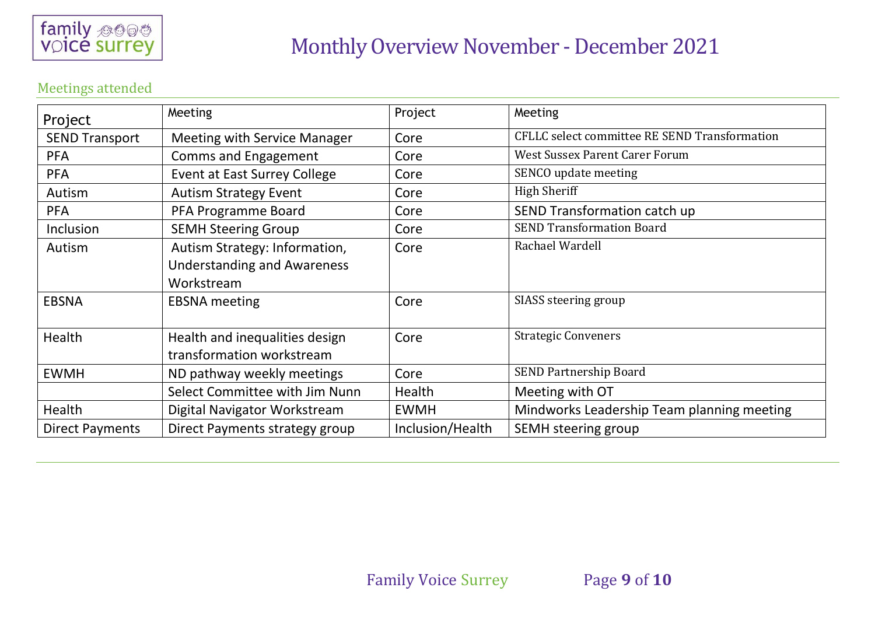

#### Meetings attended

| Project                | Meeting                             | Project          | Meeting                                       |
|------------------------|-------------------------------------|------------------|-----------------------------------------------|
| <b>SEND Transport</b>  | <b>Meeting with Service Manager</b> | Core             | CFLLC select committee RE SEND Transformation |
| <b>PFA</b>             | <b>Comms and Engagement</b>         | Core             | West Sussex Parent Carer Forum                |
| <b>PFA</b>             | Event at East Surrey College        | Core             | SENCO update meeting                          |
| Autism                 | <b>Autism Strategy Event</b>        | Core             | <b>High Sheriff</b>                           |
| <b>PFA</b>             | PFA Programme Board                 | Core             | SEND Transformation catch up                  |
| Inclusion              | <b>SEMH Steering Group</b>          | Core             | <b>SEND Transformation Board</b>              |
| Autism                 | Autism Strategy: Information,       | Core             | Rachael Wardell                               |
|                        | <b>Understanding and Awareness</b>  |                  |                                               |
|                        | Workstream                          |                  |                                               |
| <b>EBSNA</b>           | <b>EBSNA</b> meeting                | Core             | SIASS steering group                          |
|                        |                                     |                  |                                               |
| Health                 | Health and inequalities design      | Core             | <b>Strategic Conveners</b>                    |
|                        | transformation workstream           |                  |                                               |
| <b>EWMH</b>            | ND pathway weekly meetings          | Core             | <b>SEND Partnership Board</b>                 |
|                        | Select Committee with Jim Nunn      | Health           | Meeting with OT                               |
| Health                 | Digital Navigator Workstream        | <b>EWMH</b>      | Mindworks Leadership Team planning meeting    |
| <b>Direct Payments</b> | Direct Payments strategy group      | Inclusion/Health | SEMH steering group                           |